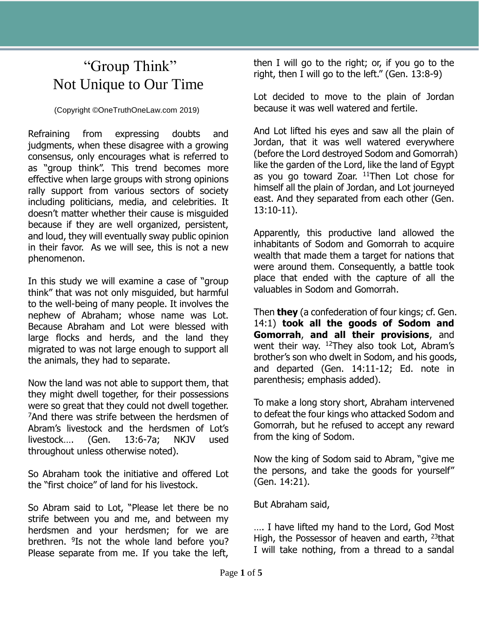## "Group Think" Not Unique to Our Time

(Copyright ©OneTruthOneLaw.com 2019)

Refraining from expressing doubts and judgments, when these disagree with a growing consensus, only encourages what is referred to as "group think". This trend becomes more effective when large groups with strong opinions rally support from various sectors of society including politicians, media, and celebrities. It doesn't matter whether their cause is misguided because if they are well organized, persistent, and loud, they will eventually sway public opinion in their favor. As we will see, this is not a new phenomenon.

In this study we will examine a case of "group think" that was not only misguided, but harmful to the well-being of many people. It involves the nephew of Abraham; whose name was Lot. Because Abraham and Lot were blessed with large flocks and herds, and the land they migrated to was not large enough to support all the animals, they had to separate.

Now the land was not able to support them, that they might dwell together, for their possessions were so great that they could not dwell together. <sup>7</sup>And there was strife between the herdsmen of Abram's livestock and the herdsmen of Lot's livestock…. (Gen. 13:6-7a; NKJV used throughout unless otherwise noted).

So Abraham took the initiative and offered Lot the "first choice" of land for his livestock.

So Abram said to Lot, "Please let there be no strife between you and me, and between my herdsmen and your herdsmen; for we are brethren. <sup>9</sup>Is not the whole land before you? Please separate from me. If you take the left,

then I will go to the right; or, if you go to the right, then I will go to the left." (Gen. 13:8-9)

Lot decided to move to the plain of Jordan because it was well watered and fertile.

And Lot lifted his eyes and saw all the plain of Jordan, that it was well watered everywhere (before the Lord destroyed Sodom and Gomorrah) like the garden of the Lord, like the land of Egypt as you go toward Zoar.  $11$ Then Lot chose for himself all the plain of Jordan, and Lot journeyed east. And they separated from each other (Gen. 13:10-11).

Apparently, this productive land allowed the inhabitants of Sodom and Gomorrah to acquire wealth that made them a target for nations that were around them. Consequently, a battle took place that ended with the capture of all the valuables in Sodom and Gomorrah.

Then **they** (a confederation of four kings; cf. Gen. 14:1) **took all the goods of Sodom and Gomorrah**, **and all their provisions**, and went their way.  $12$ They also took Lot, Abram's brother's son who dwelt in Sodom, and his goods, and departed (Gen. 14:11-12; Ed. note in parenthesis; emphasis added).

To make a long story short, Abraham intervened to defeat the four kings who attacked Sodom and Gomorrah, but he refused to accept any reward from the king of Sodom.

Now the king of Sodom said to Abram, "give me the persons, and take the goods for yourself" (Gen. 14:21).

But Abraham said,

…. I have lifted my hand to the Lord, God Most High, the Possessor of heaven and earth, <sup>23</sup>that I will take nothing, from a thread to a sandal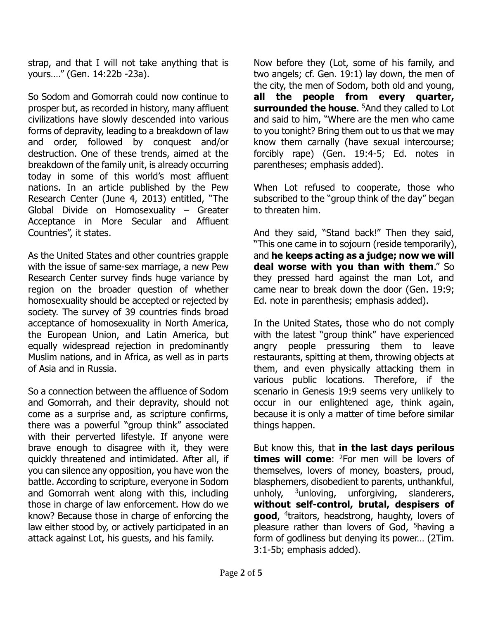strap, and that I will not take anything that is yours…." (Gen. 14:22b -23a).

So Sodom and Gomorrah could now continue to prosper but, as recorded in history, many affluent civilizations have slowly descended into various forms of depravity, leading to a breakdown of law and order, followed by conquest and/or destruction. One of these trends, aimed at the breakdown of the family unit, is already occurring today in some of this world's most affluent nations. In an article published by the Pew Research Center (June 4, 2013) entitled, "The Global Divide on Homosexuality – Greater Acceptance in More Secular and Affluent Countries", it states.

As the United States and other countries grapple with the issue of same-sex marriage, a new Pew Research Center survey finds huge variance by region on the broader question of whether homosexuality should be accepted or rejected by society. The survey of 39 countries finds broad acceptance of homosexuality in North America, the European Union, and Latin America, but equally widespread rejection in predominantly Muslim nations, and in Africa, as well as in parts of Asia and in Russia.

So a connection between the affluence of Sodom and Gomorrah, and their depravity, should not come as a surprise and, as scripture confirms, there was a powerful "group think" associated with their perverted lifestyle. If anyone were brave enough to disagree with it, they were quickly threatened and intimidated. After all, if you can silence any opposition, you have won the battle. According to scripture, everyone in Sodom and Gomorrah went along with this, including those in charge of law enforcement. How do we know? Because those in charge of enforcing the law either stood by, or actively participated in an attack against Lot, his guests, and his family.

Now before they (Lot, some of his family, and two angels; cf. Gen. 19:1) lay down, the men of the city, the men of Sodom, both old and young, **all the people from every quarter, surrounded the house**. <sup>5</sup>And they called to Lot and said to him, "Where are the men who came to you tonight? Bring them out to us that we may know them carnally (have sexual intercourse; forcibly rape) (Gen. 19:4-5; Ed. notes in parentheses; emphasis added).

When Lot refused to cooperate, those who subscribed to the "group think of the day" began to threaten him.

And they said, "Stand back!" Then they said, "This one came in to sojourn (reside temporarily), and **he keeps acting as a judge; now we will deal worse with you than with them**." So they pressed hard against the man Lot, and came near to break down the door (Gen. 19:9; Ed. note in parenthesis; emphasis added).

In the United States, those who do not comply with the latest "group think" have experienced angry people pressuring them to leave restaurants, spitting at them, throwing objects at them, and even physically attacking them in various public locations. Therefore, if the scenario in Genesis 19:9 seems very unlikely to occur in our enlightened age, think again, because it is only a matter of time before similar things happen.

But know this, that **in the last days perilous times will come:** <sup>2</sup>For men will be lovers of themselves, lovers of money, boasters, proud, blasphemers, disobedient to parents, unthankful, unholy,  $3$ unloving, unforgiving, slanderers, **without self-control, brutal, despisers of good**, 4 traitors, headstrong, haughty, lovers of pleasure rather than lovers of God, <sup>5</sup>having a form of godliness but denying its power… (2Tim. 3:1-5b; emphasis added).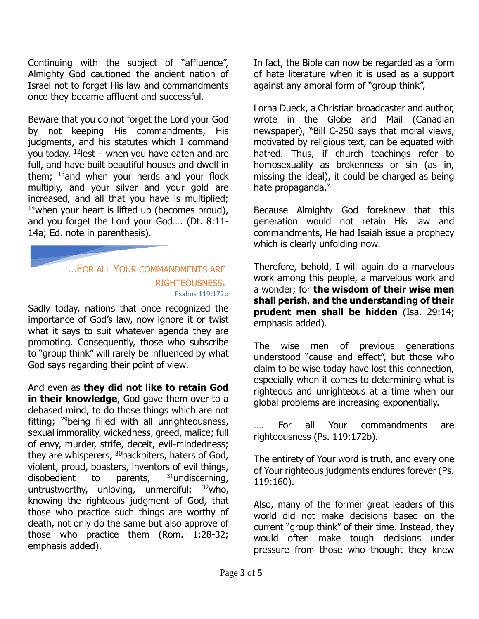Continuing with the subject of "affluence", Almighty God cautioned the ancient nation of Israel not to forget His law and commandments once they became affluent and successful.

Beware that you do not forget the Lord your God by not keeping His commandments, His judgments, and his statutes which I command you today,  $12$  lest – when you have eaten and are full, and have built beautiful houses and dwell in them;  $13$  and when your herds and your flock multiply, and your silver and your gold are increased, and all that you have is multiplied;  $14$ when your heart is lifted up (becomes proud), and you forget the Lord your God…. (Dt. 8:11- 14a; Ed. note in parenthesis).

## …FOR ALL YOUR COMMANDMENTS ARE RIGHTEOUSNESS. Psalms 119:172b

Sadly today, nations that once recognized the importance of God's law, now ignore it or twist what it says to suit whatever agenda they are promoting. Consequently, those who subscribe to "group think" will rarely be influenced by what God says regarding their point of view.

And even as **they did not like to retain God in their knowledge**, God gave them over to a debased mind, to do those things which are not fitting; <sup>29</sup>being filled with all unrighteousness, sexual immorality, wickedness, greed, malice; full of envy, murder, strife, deceit, evil-mindedness; they are whisperers, <sup>30</sup>backbiters, haters of God, violent, proud, boasters, inventors of evil things, disobedient to parents,  $31$ undiscerning, untrustworthy, unloving, unmerciful;  $32$  who, knowing the righteous judgment of God, that those who practice such things are worthy of death, not only do the same but also approve of those who practice them (Rom. 1:28-32; emphasis added).

In fact, the Bible can now be regarded as a form of hate literature when it is used as a support against any amoral form of "group think",

Lorna Dueck, a Christian broadcaster and author, wrote in the Globe and Mail (Canadian newspaper), "Bill C-250 says that moral views, motivated by religious text, can be equated with hatred. Thus, if church teachings refer to homosexuality as brokenness or sin (as in, missing the ideal), it could be charged as being hate propaganda."

Because Almighty God foreknew that this generation would not retain His law and commandments, He had Isaiah issue a prophecy which is clearly unfolding now.

Therefore, behold, I will again do a marvelous work among this people, a marvelous work and a wonder; for **the wisdom of their wise men shall perish**, **and the understanding of their prudent men shall be hidden** (Isa. 29:14; emphasis added).

The wise men of previous generations understood "cause and effect", but those who claim to be wise today have lost this connection, especially when it comes to determining what is righteous and unrighteous at a time when our global problems are increasing exponentially.

For all Your commandments are righteousness (Ps. 119:172b).

The entirety of Your word is truth, and every one of Your righteous judgments endures forever (Ps. 119:160).

Also, many of the former great leaders of this world did not make decisions based on the current "group think" of their time. Instead, they would often make tough decisions under pressure from those who thought they knew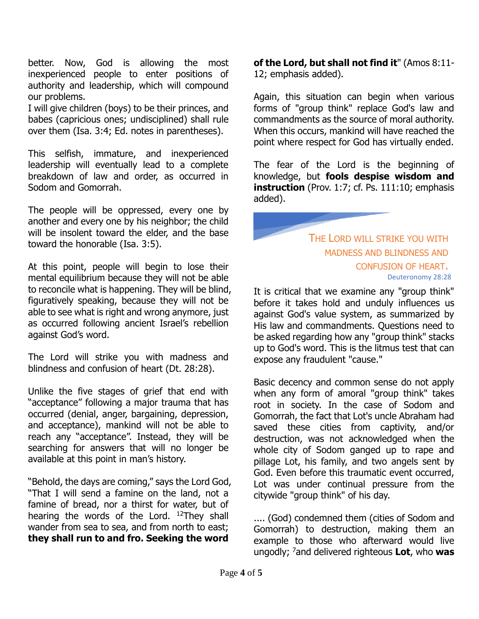better. Now, God is allowing the most inexperienced people to enter positions of authority and leadership, which will compound our problems.

I will give children (boys) to be their princes, and babes (capricious ones; undisciplined) shall rule over them (Isa. 3:4; Ed. notes in parentheses).

This selfish, immature, and inexperienced leadership will eventually lead to a complete breakdown of law and order, as occurred in Sodom and Gomorrah.

The people will be oppressed, every one by another and every one by his neighbor; the child will be insolent toward the elder, and the base toward the honorable (Isa. 3:5).

At this point, people will begin to lose their mental equilibrium because they will not be able to reconcile what is happening. They will be blind, figuratively speaking, because they will not be able to see what is right and wrong anymore, just as occurred following ancient Israel's rebellion against God's word.

The Lord will strike you with madness and blindness and confusion of heart (Dt. 28:28).

Unlike the five stages of grief that end with "acceptance" following a major trauma that has occurred (denial, anger, bargaining, depression, and acceptance), mankind will not be able to reach any "acceptance". Instead, they will be searching for answers that will no longer be available at this point in man's history.

"Behold, the days are coming," says the Lord God, "That I will send a famine on the land, not a famine of bread, nor a thirst for water, but of hearing the words of the Lord. <sup>12</sup>They shall wander from sea to sea, and from north to east; **they shall run to and fro. Seeking the word** 

**of the Lord, but shall not find it**" (Amos 8:11- 12; emphasis added).

Again, this situation can begin when various forms of "group think" replace God's law and commandments as the source of moral authority. When this occurs, mankind will have reached the point where respect for God has virtually ended.

The fear of the Lord is the beginning of knowledge, but **fools despise wisdom and instruction** (Prov. 1:7; cf. Ps. 111:10; emphasis added).

> THE LORD WILL STRIKE YOU WITH MADNESS AND BLINDNESS AND CONFUSION OF HEART. Deuteronomy 28:28

It is critical that we examine any "group think" before it takes hold and unduly influences us against God's value system, as summarized by His law and commandments. Questions need to be asked regarding how any "group think" stacks up to God's word. This is the litmus test that can expose any fraudulent "cause."

Basic decency and common sense do not apply when any form of amoral "group think" takes root in society. In the case of Sodom and Gomorrah, the fact that Lot's uncle Abraham had saved these cities from captivity, and/or destruction, was not acknowledged when the whole city of Sodom ganged up to rape and pillage Lot, his family, and two angels sent by God. Even before this traumatic event occurred, Lot was under continual pressure from the citywide "group think" of his day.

.... (God) condemned them (cities of Sodom and Gomorrah) to destruction, making them an example to those who afterward would live ungodly; <sup>7</sup>and delivered righteous **Lot**, who **was**